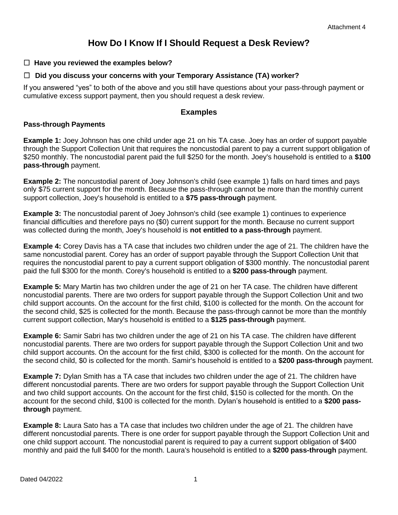# **How Do I Know If I Should Request a Desk Review?**

☐ **Have you reviewed the examples below?**

### ☐ **Did you discuss your concerns with your Temporary Assistance (TA) worker?**

If you answered "yes" to both of the above and you still have questions about your pass-through payment or cumulative excess support payment, then you should request a desk review.

## **Examples**

#### **Pass-through Payments**

**Example 1:** Joey Johnson has one child under age 21 on his TA case. Joey has an order of support payable through the Support Collection Unit that requires the noncustodial parent to pay a current support obligation of \$250 monthly. The noncustodial parent paid the full \$250 for the month. Joey's household is entitled to a **\$100 pass-through** payment.

**Example 2:** The noncustodial parent of Joey Johnson's child (see example 1) falls on hard times and pays only \$75 current support for the month. Because the pass-through cannot be more than the monthly current support collection, Joey's household is entitled to a **\$75 pass-through** payment.

**Example 3:** The noncustodial parent of Joey Johnson's child (see example 1) continues to experience financial difficulties and therefore pays no (\$0) current support for the month. Because no current support was collected during the month, Joey's household is **not entitled to a pass-through** payment.

**Example 4:** Corey Davis has a TA case that includes two children under the age of 21. The children have the same noncustodial parent. Corey has an order of support payable through the Support Collection Unit that requires the noncustodial parent to pay a current support obligation of \$300 monthly. The noncustodial parent paid the full \$300 for the month. Corey's household is entitled to a **\$200 pass-through** payment.

**Example 5:** Mary Martin has two children under the age of 21 on her TA case. The children have different noncustodial parents. There are two orders for support payable through the Support Collection Unit and two child support accounts. On the account for the first child, \$100 is collected for the month. On the account for the second child, \$25 is collected for the month. Because the pass-through cannot be more than the monthly current support collection, Mary's household is entitled to a **\$125 pass-through** payment.

**Example 6:** Samir Sabri has two children under the age of 21 on his TA case. The children have different noncustodial parents. There are two orders for support payable through the Support Collection Unit and two child support accounts. On the account for the first child, \$300 is collected for the month. On the account for the second child, \$0 is collected for the month. Samir's household is entitled to a **\$200 pass-through** payment.

**Example 7:** Dylan Smith has a TA case that includes two children under the age of 21. The children have different noncustodial parents. There are two orders for support payable through the Support Collection Unit and two child support accounts. On the account for the first child, \$150 is collected for the month. On the account for the second child, \$100 is collected for the month. Dylan's household is entitled to a **\$200 passthrough** payment.

**Example 8:** Laura Sato has a TA case that includes two children under the age of 21. The children have different noncustodial parents. There is one order for support payable through the Support Collection Unit and one child support account. The noncustodial parent is required to pay a current support obligation of \$400 monthly and paid the full \$400 for the month. Laura's household is entitled to a **\$200 pass-through** payment.